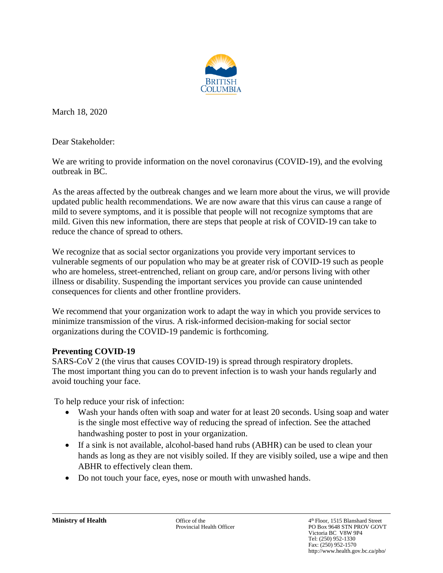

March 18, 2020

Dear Stakeholder:

We are writing to provide information on the novel coronavirus (COVID-19), and the evolving outbreak in BC.

As the areas affected by the outbreak changes and we learn more about the virus, we will provide updated public health recommendations. We are now aware that this virus can cause a range of mild to severe symptoms, and it is possible that people will not recognize symptoms that are mild. Given this new information, there are steps that people at risk of COVID-19 can take to reduce the chance of spread to others.

We recognize that as social sector organizations you provide very important services to vulnerable segments of our population who may be at greater risk of COVID-19 such as people who are homeless, street-entrenched, reliant on group care, and/or persons living with other illness or disability. Suspending the important services you provide can cause unintended consequences for clients and other frontline providers.

We recommend that your organization work to adapt the way in which you provide services to minimize transmission of the virus. A risk-informed decision-making for social sector organizations during the COVID-19 pandemic is forthcoming.

#### **Preventing COVID-19**

SARS-CoV 2 (the virus that causes COVID-19) is spread through respiratory droplets. The most important thing you can do to prevent infection is to wash your hands regularly and avoid touching your face.

To help reduce your risk of infection:

- Wash your hands often with soap and water for at least 20 seconds. Using soap and water is the single most effective way of reducing the spread of infection. See the attached handwashing poster to post in your organization.
- If a sink is not available, alcohol-based hand rubs (ABHR) can be used to clean your hands as long as they are not visibly soiled. If they are visibly soiled, use a wipe and then ABHR to effectively clean them.
- Do not touch your face, eyes, nose or mouth with unwashed hands.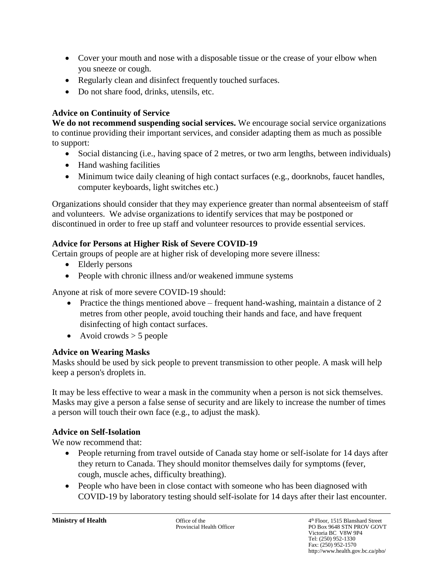- Cover your mouth and nose with a disposable tissue or the crease of your elbow when you sneeze or cough.
- Regularly clean and disinfect frequently touched surfaces.
- Do not share food, drinks, utensils, etc.

### **Advice on Continuity of Service**

**We do not recommend suspending social services.** We encourage social service organizations to continue providing their important services, and consider adapting them as much as possible to support:

- Social distancing (i.e., having space of 2 metres, or two arm lengths, between individuals)
- Hand washing facilities
- Minimum twice daily cleaning of high contact surfaces (e.g., doorknobs, faucet handles, computer keyboards, light switches etc.)

Organizations should consider that they may experience greater than normal absenteeism of staff and volunteers. We advise organizations to identify services that may be postponed or discontinued in order to free up staff and volunteer resources to provide essential services.

### **Advice for Persons at Higher Risk of Severe COVID-19**

Certain groups of people are at higher risk of developing more severe illness:

- Elderly persons
- People with chronic illness and/or weakened immune systems

Anyone at risk of more severe COVID-19 should:

- Practice the things mentioned above frequent hand-washing, maintain a distance of 2 metres from other people, avoid touching their hands and face, and have frequent disinfecting of high contact surfaces.
- Avoid crowds  $>$  5 people

# **Advice on Wearing Masks**

Masks should be used by sick people to prevent transmission to other people. A mask will help keep a person's droplets in.

It may be less effective to wear a mask in the community when a person is not sick themselves. Masks may give a person a false sense of security and are likely to increase the number of times a person will touch their own face (e.g., to adjust the mask).

# **Advice on Self-Isolation**

We now recommend that:

- People returning from travel outside of Canada stay home or self-isolate for 14 days after they return to Canada. They should monitor themselves daily for symptoms (fever, cough, muscle aches, difficulty breathing).
- People who have been in close contact with someone who has been diagnosed with COVID-19 by laboratory testing should self-isolate for 14 days after their last encounter.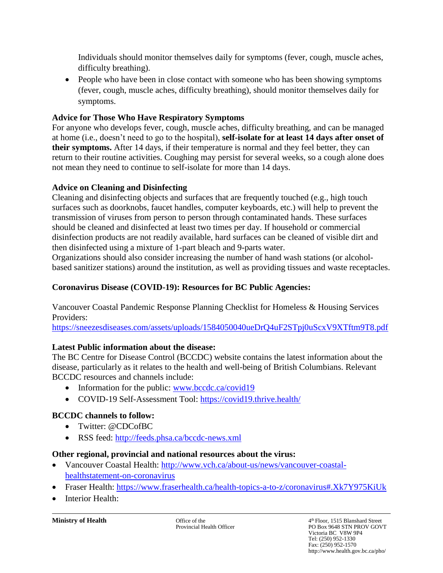Individuals should monitor themselves daily for symptoms (fever, cough, muscle aches, difficulty breathing).

• People who have been in close contact with someone who has been showing symptoms (fever, cough, muscle aches, difficulty breathing), should monitor themselves daily for symptoms.

### **Advice for Those Who Have Respiratory Symptoms**

For anyone who develops fever, cough, muscle aches, difficulty breathing, and can be managed at home (i.e., doesn't need to go to the hospital), **self-isolate for at least 14 days after onset of their symptoms.** After 14 days, if their temperature is normal and they feel better, they can return to their routine activities. Coughing may persist for several weeks, so a cough alone does not mean they need to continue to self-isolate for more than 14 days.

### **Advice on Cleaning and Disinfecting**

Cleaning and disinfecting objects and surfaces that are frequently touched (e.g., high touch surfaces such as doorknobs, faucet handles, computer keyboards, etc.) will help to prevent the transmission of viruses from person to person through contaminated hands. These surfaces should be cleaned and disinfected at least two times per day. If household or commercial disinfection products are not readily available, hard surfaces can be cleaned of visible dirt and then disinfected using a mixture of 1-part bleach and 9-parts water.

Organizations should also consider increasing the number of hand wash stations (or alcoholbased sanitizer stations) around the institution, as well as providing tissues and waste receptacles.

### **Coronavirus Disease (COVID-19): Resources for BC Public Agencies:**

Vancouver Coastal Pandemic Response Planning Checklist for Homeless & Housing Services Providers:

<https://sneezesdiseases.com/assets/uploads/1584050040ueDrQ4uF2STpj0uScxV9XTftm9T8.pdf>

# **Latest Public information about the disease:**

The BC Centre for Disease Control (BCCDC) website contains the latest information about the disease, particularly as it relates to the health and well-being of British Columbians. Relevant BCCDC resources and channels include:

- Information for the public: [www.bccdc.ca/covid19](http://www.bccdc.ca/covid19)
- COVID-19 Self-Assessment Tool:<https://covid19.thrive.health/>

# **BCCDC channels to follow:**

- Twitter: @CDCofBC
- RSS feed:<http://feeds.phsa.ca/bccdc-news.xml>

#### **Other regional, provincial and national resources about the virus:**

- Vancouver Coastal Health: [http://www.vch.ca/about-us/news/vancouver-coastal](http://www.vch.ca/about-us/news/vancouver-coastal-healthstatement-on-coronavirus)[healthstatement-on-coronavirus](http://www.vch.ca/about-us/news/vancouver-coastal-healthstatement-on-coronavirus)
- Fraser Health:<https://www.fraserhealth.ca/health-topics-a-to-z/coronavirus#.Xk7Y975KiUk>
- **Interior Health:**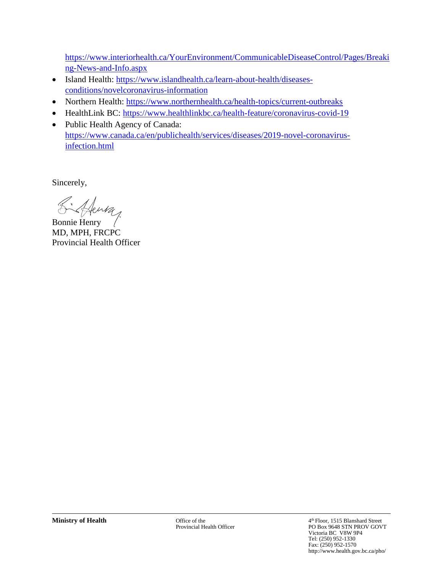[https://www.interiorhealth.ca/YourEnvironment/CommunicableDiseaseControl/Pages/Breaki](https://www.interiorhealth.ca/YourEnvironment/CommunicableDiseaseControl/Pages/Breaking-News-and-Info.aspx) [ng-News-and-Info.aspx](https://www.interiorhealth.ca/YourEnvironment/CommunicableDiseaseControl/Pages/Breaking-News-and-Info.aspx)

- Island Health: [https://www.islandhealth.ca/learn-about-health/diseases](https://www.islandhealth.ca/learn-about-health/diseases-conditions/novelcoronavirus-information)[conditions/novelcoronavirus-information](https://www.islandhealth.ca/learn-about-health/diseases-conditions/novelcoronavirus-information)
- Northern Health:<https://www.northernhealth.ca/health-topics/current-outbreaks>
- HealthLink BC:<https://www.healthlinkbc.ca/health-feature/coronavirus-covid-19>
- Public Health Agency of Canada: [https://www.canada.ca/en/publichealth/services/diseases/2019-novel-coronavirus](https://www.canada.ca/en/publichealth/services/diseases/2019-novel-coronavirus-infection.html)[infection.html](https://www.canada.ca/en/publichealth/services/diseases/2019-novel-coronavirus-infection.html)

Sincerely,

Bonnie Henry

MD, MPH, FRCPC Provincial Health Officer